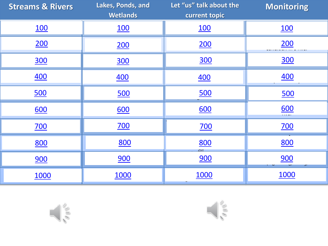| <b>Streams &amp; Rivers</b> | Lakes, Ponds, and<br><b>Wetlands</b> | Let "us" talk about the<br>current topic | <b>Monitoring</b>  |
|-----------------------------|--------------------------------------|------------------------------------------|--------------------|
| <u>100</u>                  | <u>100</u>                           | <u>100</u>                               | <u>100</u>         |
| 200                         | 200                                  | 200                                      | 200                |
| <b>300</b>                  | <b>300</b>                           | <u>300</u>                               | <b>300</b>         |
| <u>400</u>                  | <u>400</u>                           | <u>400</u>                               | <u>400</u>         |
| 500                         | 500                                  | 500                                      | <u>500</u>         |
| 600                         | 600                                  | 600                                      | $\underbrace{600}$ |
| <u>700</u>                  | <u>700</u>                           | <u>700</u>                               | <u>700</u>         |
| 800                         | 800                                  | 800<br>an.                               | 800                |
| 900                         | 900                                  | 900                                      | 900                |
| <b>1000</b>                 | <b>1000</b>                          | 1000                                     | <b>1000</b>        |



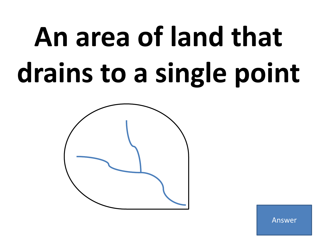## **An area of land that drains to a single point**

<span id="page-1-0"></span>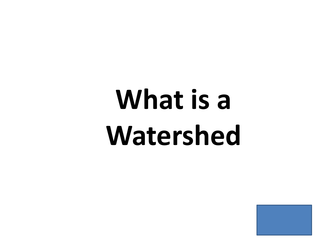## <span id="page-2-0"></span>**What is a Watershed**

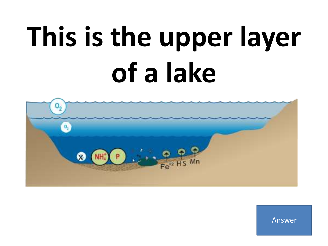## **This is the upper layer of a lake**

<span id="page-3-0"></span>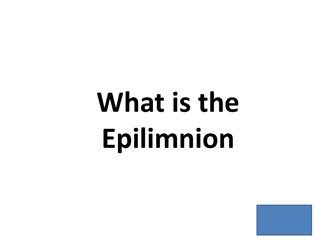## <span id="page-4-0"></span>What is the **Epilimnion**

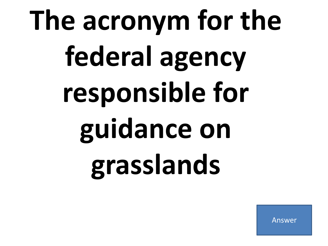# <span id="page-5-0"></span>**The acronym for the federal agency responsible for guidance on grasslands**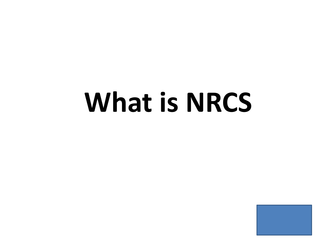### <span id="page-6-0"></span>**What is NRCS**

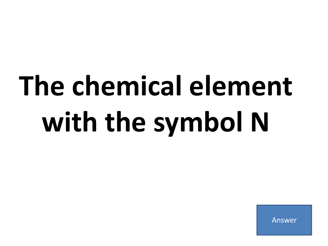# <span id="page-7-0"></span>**The chemical element with the symbol N**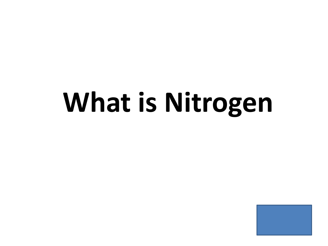### <span id="page-8-0"></span>**What is Nitrogen**

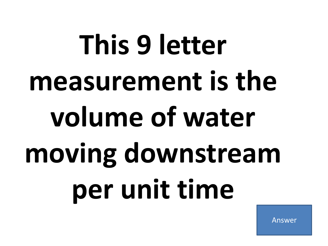# <span id="page-9-0"></span>**This 9 letter measurement is the volume of water moving downstream per unit time**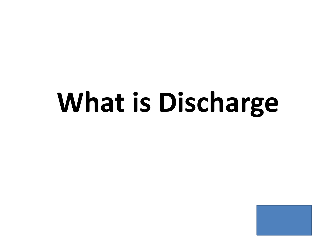### <span id="page-10-0"></span>**What is Discharge**

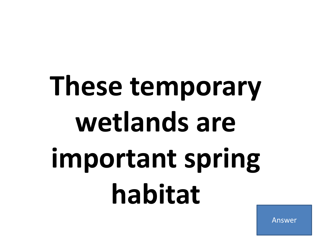## <span id="page-11-0"></span>**These temporary wetlands are important spring habitat**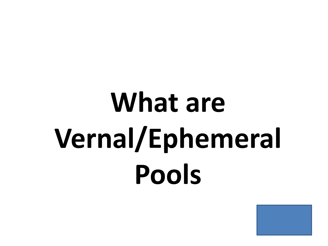## <span id="page-12-0"></span>**What are Vernal/Ephemeral Pools**

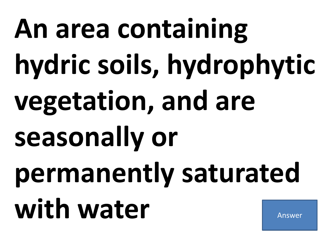# <span id="page-13-0"></span>**An area containing hydric soils, hydrophytic vegetation, and are seasonally or permanently saturated**  with water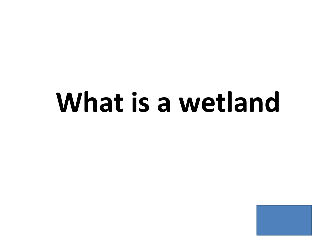#### <span id="page-14-0"></span>**What is a wetland**

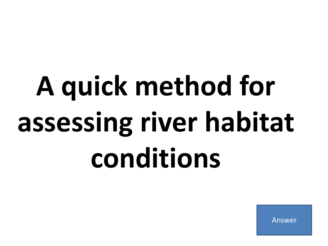# <span id="page-15-0"></span>**A quick method for assessing river habitat conditions**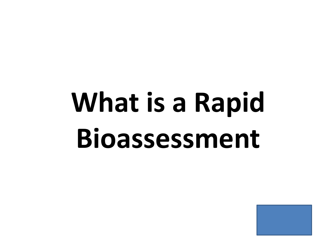## <span id="page-16-0"></span>**What is a Rapid Bioassessment**

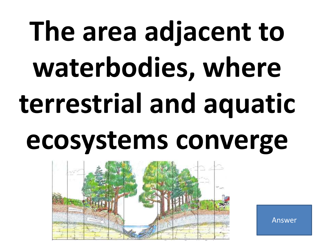# **The area adjacent to waterbodies, where terrestrial and aquatic ecosystems converge**

<span id="page-17-0"></span>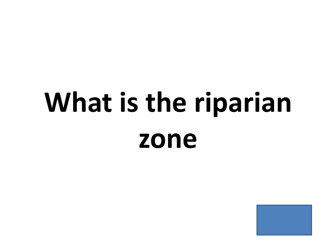## <span id="page-18-0"></span>**What is the riparian zone**

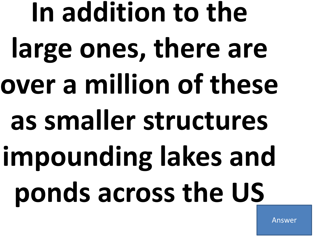<span id="page-19-0"></span>**In addition to the large ones, there are over a million of these as smaller structures impounding lakes and ponds across the US**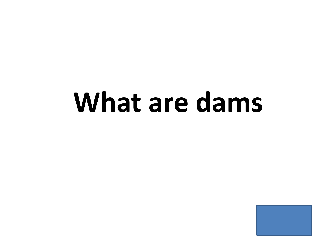#### <span id="page-20-0"></span>**What are dams**

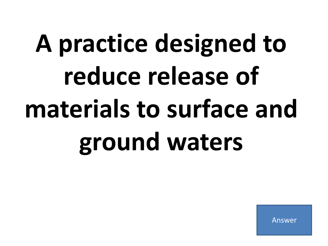## <span id="page-21-0"></span>**A practice designed to reduce release of materials to surface and ground waters**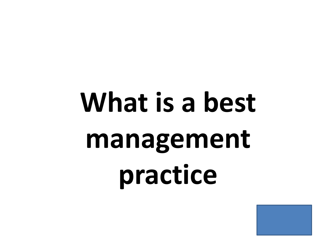# <span id="page-22-0"></span>**What is a best management practice**

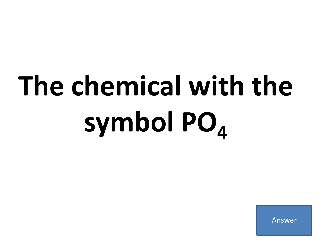# <span id="page-23-0"></span>**The chemical with the symbol PO<sup>4</sup>**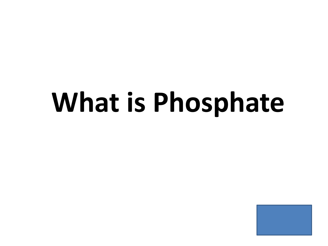### <span id="page-24-0"></span>**What is Phosphate**

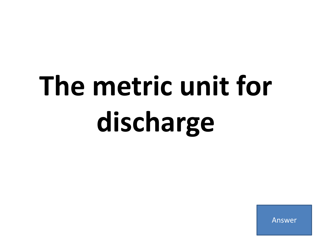# <span id="page-25-0"></span>**The metric unit for discharge**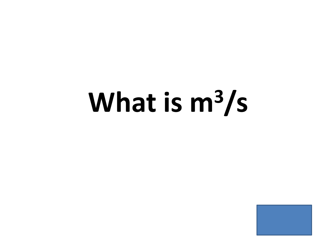### <span id="page-26-0"></span>**What is m3/s**

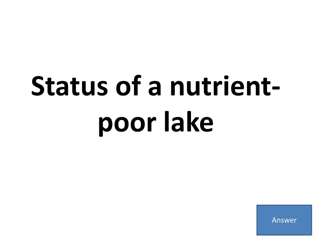## <span id="page-27-0"></span>**Status of a nutrientpoor lake**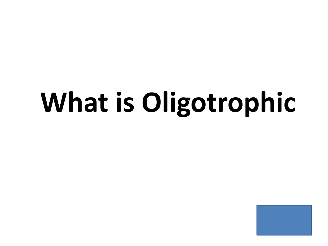### <span id="page-28-0"></span>**What is Oligotrophic**

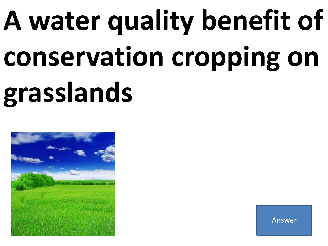# **A water quality benefit of conservation cropping on grasslands**

<span id="page-29-0"></span>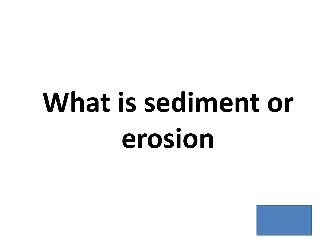## <span id="page-30-0"></span>**What is sediment or erosion**

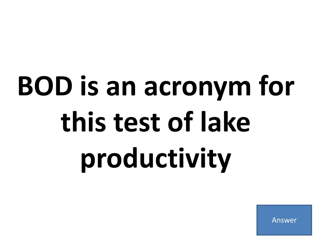# <span id="page-31-0"></span>**BOD is an acronym for this test of lake productivity**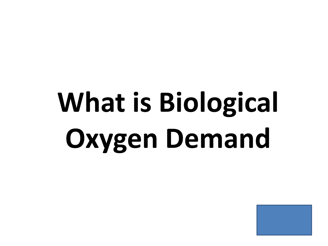## <span id="page-32-0"></span>**What is Biological Oxygen Demand**

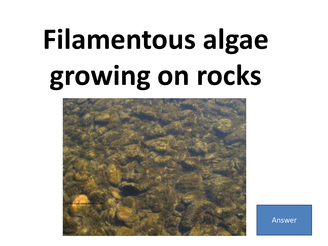## **Filamentous algae growing on rocks**

<span id="page-33-0"></span>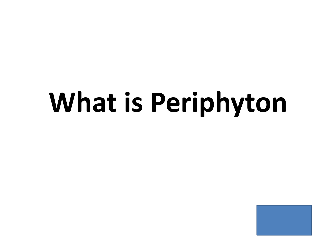### <span id="page-34-0"></span>**What is Periphyton**

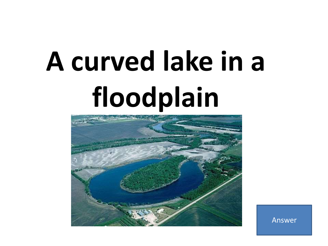## **A curved lake in a floodplain**

<span id="page-35-0"></span>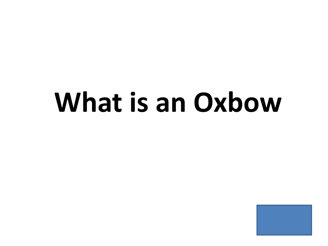#### **What is an Oxbow**

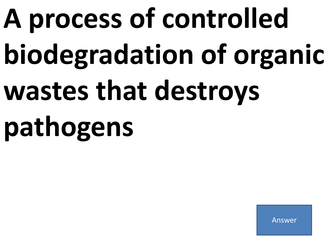# **A process of controlled biodegradation of organic wastes that destroys pathogens**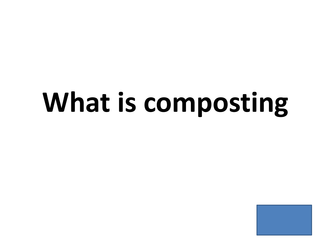### <span id="page-38-0"></span>**What is composting**

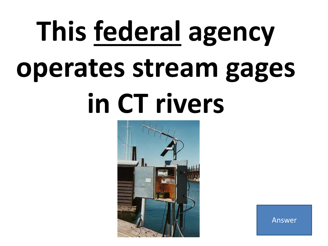# **This federal agency operates stream gages in CT rivers**

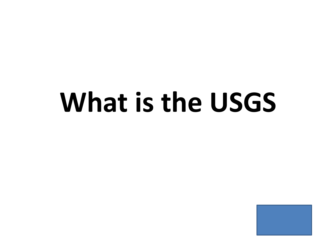#### <span id="page-40-0"></span>**What is the USGS**

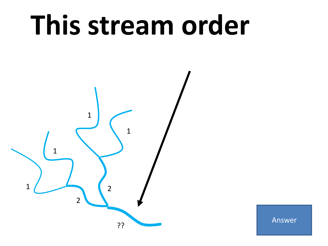### **This stream order**

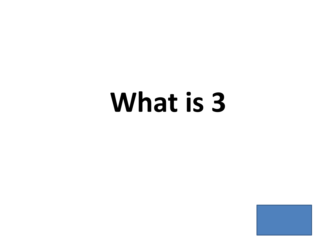#### <span id="page-42-0"></span>**What is 3**

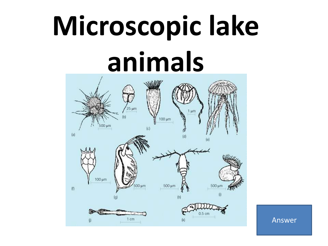### **Microscopic lake animals**

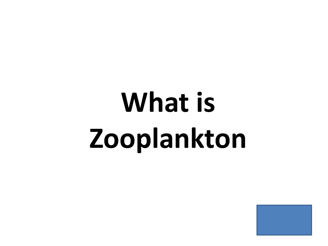## <span id="page-44-0"></span>**What is Zooplankton**

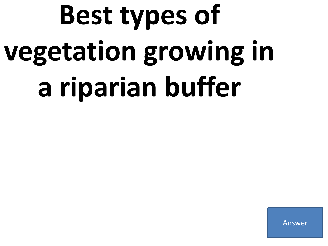## **Best types of vegetation growing in a riparian buffer**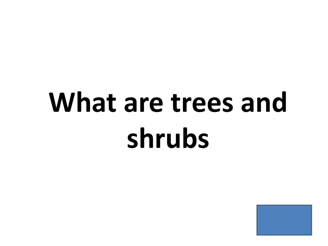### <span id="page-46-0"></span>**What are trees and shrubs**

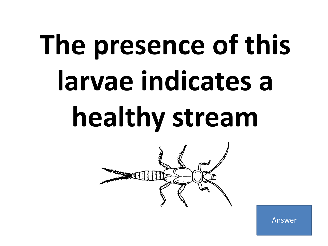# **The presence of this larvae indicates a healthy stream**

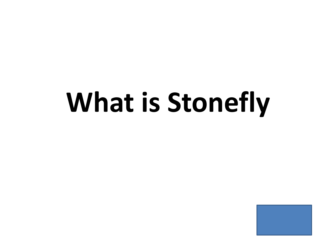### <span id="page-48-0"></span>**What is Stonefly**

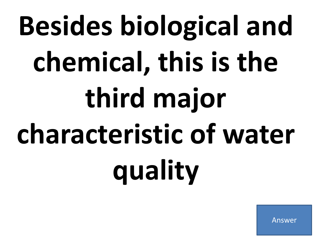# **Besides biological and chemical, this is the third major characteristic of water quality**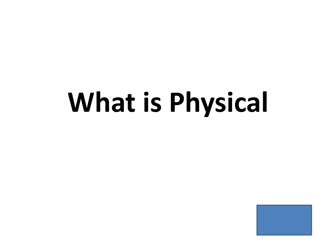### <span id="page-50-0"></span>**What is Physical**

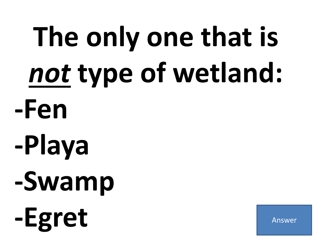# **The only one that is**  *not* **type of wetland: -Fen -Playa -Swamp** -Egret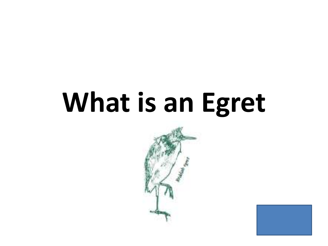### <span id="page-52-0"></span>**What is an Egret**



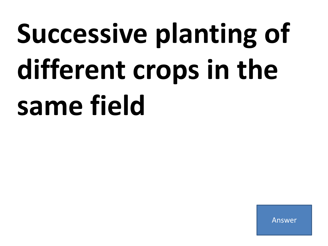# **Successive planting of different crops in the same field**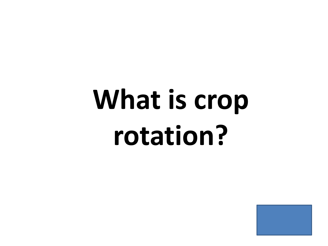## <span id="page-54-0"></span>**What is crop rotation?**

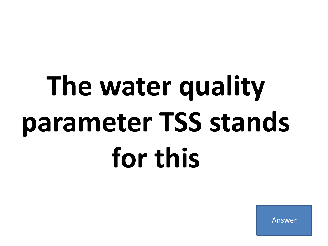# **The water quality parameter TSS stands for this**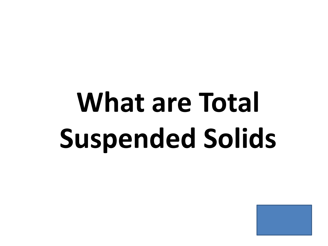## <span id="page-56-0"></span>**What are Total Suspended Solids**

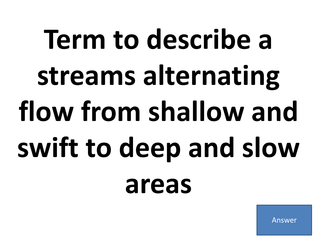# **Term to describe a streams alternating flow from shallow and swift to deep and slow areas**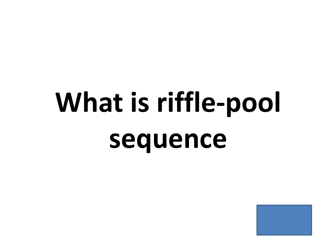## <span id="page-58-0"></span>**What is riffle-pool sequence**

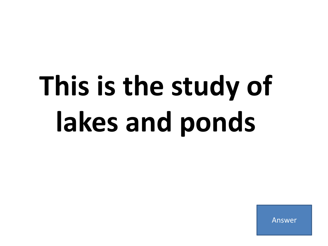# **This is the study of lakes and ponds**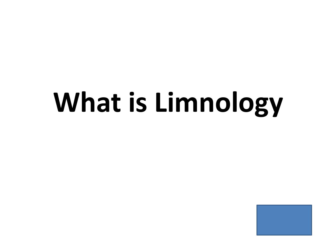### <span id="page-60-0"></span>**What is Limnology**

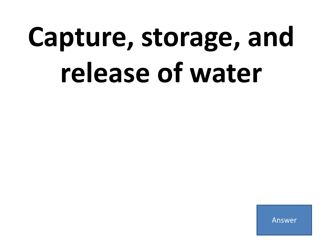### **Capture, storage, and release of water**

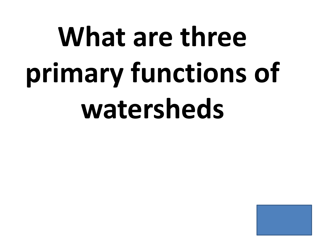# <span id="page-62-0"></span>**What are three primary functions of watersheds**

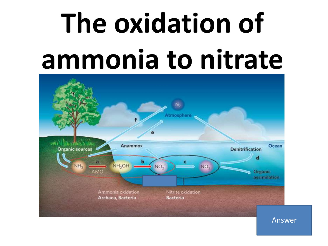## **The oxidation of ammonia to nitrate**

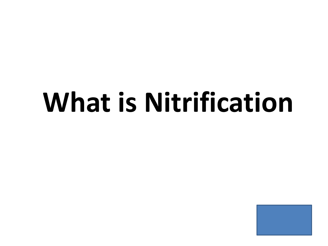#### <span id="page-64-0"></span>**What is Nitrification**

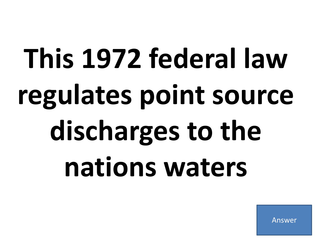# **This 1972 federal law regulates point source**  discharges to the **nations waters**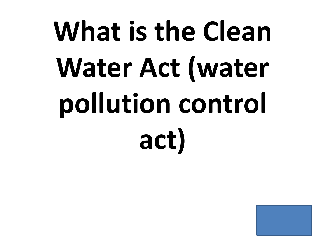# <span id="page-66-0"></span>**What is the Clean Water Act (water pollution control act)**

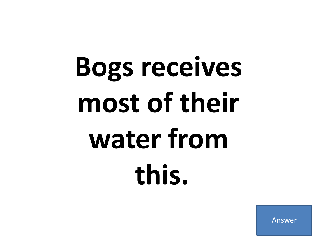## **Bogs receives most of their water from this.**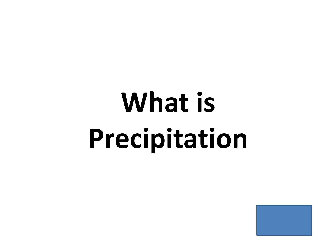## <span id="page-68-0"></span>**What is Precipitation**

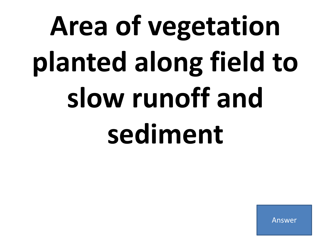# **Area of vegetation planted along field to slow runoff and sediment**

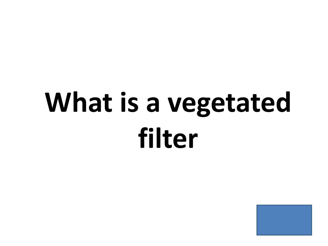### <span id="page-70-0"></span>What is a vegetated **filter**

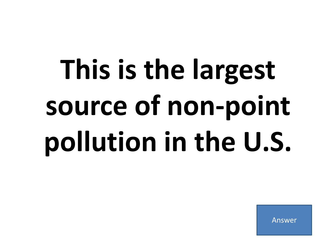## **This is the largest source of non-point pollution in the U.S.**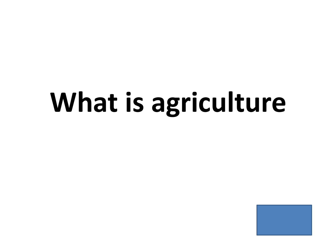### **What is agriculture**

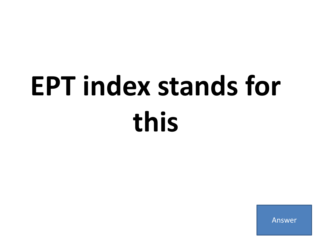### **EPT index stands for this**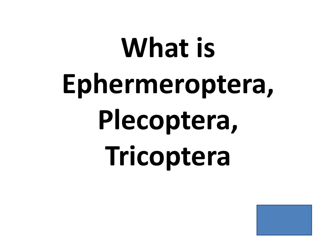# <span id="page-74-0"></span>**What is Ephermeroptera, Plecoptera, Tricoptera**

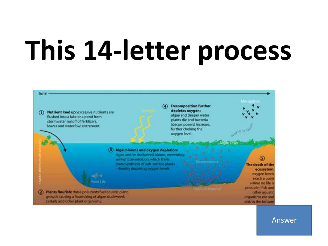### **This 14-letter process**

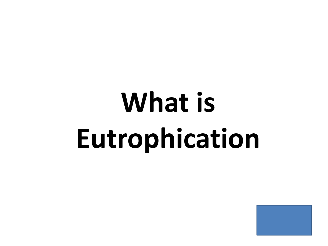### <span id="page-76-0"></span>**What is Eutrophication**

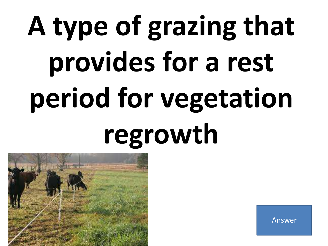# **A type of grazing that provides for a rest period for vegetation regrowth**

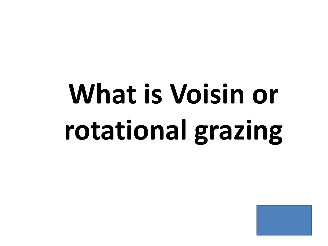## <span id="page-78-0"></span>**What is Voisin or rotational grazing**

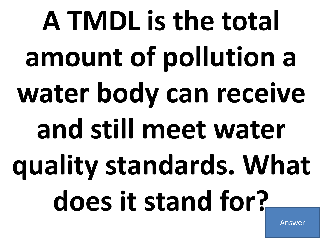**A TMDL is the total amount of pollution a water body can receive and still meet water quality standards. What does it stand for?**